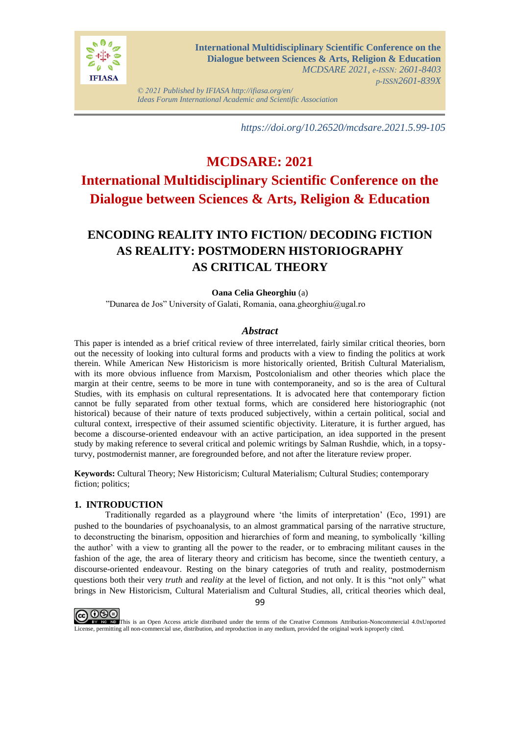

*© 2021 Published by IFIASA http://ifiasa.org/en/ Ideas Forum International Academic and Scientific Association*

*https://doi.org/10.26520/mcdsare.2021.5.99-105*

# **MCDSARE: 2021 International Multidisciplinary Scientific Conference on the Dialogue between Sciences & Arts, Religion & Education**

# **ENCODING REALITY INTO FICTION/ DECODING FICTION AS REALITY: POSTMODERN HISTORIOGRAPHY AS CRITICAL THEORY**

# **Oana Celia Gheorghiu** (a)

"Dunarea de Jos" University of Galati, Romania, oana.gheorghiu@ugal.ro

# *Abstract*

This paper is intended as a brief critical review of three interrelated, fairly similar critical theories, born out the necessity of looking into cultural forms and products with a view to finding the politics at work therein. While American New Historicism is more historically oriented, British Cultural Materialism, with its more obvious influence from Marxism, Postcolonialism and other theories which place the margin at their centre, seems to be more in tune with contemporaneity, and so is the area of Cultural Studies, with its emphasis on cultural representations. It is advocated here that contemporary fiction cannot be fully separated from other textual forms, which are considered here historiographic (not historical) because of their nature of texts produced subjectively, within a certain political, social and cultural context, irrespective of their assumed scientific objectivity. Literature, it is further argued, has become a discourse-oriented endeavour with an active participation, an idea supported in the present study by making reference to several critical and polemic writings by Salman Rushdie, which, in a topsyturvy, postmodernist manner, are foregrounded before, and not after the literature review proper.

**Keywords:** Cultural Theory; New Historicism; Cultural Materialism; Cultural Studies; contemporary fiction; politics;

# **1. INTRODUCTION**

Traditionally regarded as a playground where 'the limits of interpretation' (Eco, 1991) are pushed to the boundaries of psychoanalysis, to an almost grammatical parsing of the narrative structure, to deconstructing the binarism, opposition and hierarchies of form and meaning, to symbolically 'killing the author' with a view to granting all the power to the reader, or to embracing militant causes in the fashion of the age, the area of literary theory and criticism has become, since the twentieth century, a discourse-oriented endeavour. Resting on the binary categories of truth and reality, postmodernism questions both their very *truth* and *reality* at the level of fiction, and not only. It is this "not only" what brings in New Historicism, Cultural Materialism and Cultural Studies, all, critical theories which deal,



This is an Open Access article distributed under the terms of the Creative Commons Attribution-Noncommercial 4.0xUnported License, permitting all non-commercial use, distribution, and reproduction in any medium, provided the original work isproperly cited.

99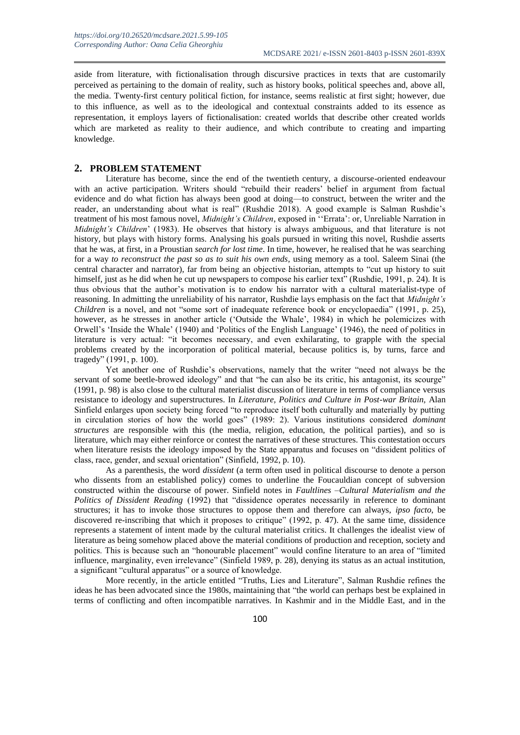aside from literature, with fictionalisation through discursive practices in texts that are customarily perceived as pertaining to the domain of reality, such as history books, political speeches and, above all, the media. Twenty-first century political fiction, for instance, seems realistic at first sight; however, due to this influence, as well as to the ideological and contextual constraints added to its essence as representation, it employs layers of fictionalisation: created worlds that describe other created worlds which are marketed as reality to their audience, and which contribute to creating and imparting knowledge.

## **2. PROBLEM STATEMENT**

Literature has become, since the end of the twentieth century, a discourse-oriented endeavour with an active participation. Writers should "rebuild their readers' belief in argument from factual evidence and do what fiction has always been good at doing—to construct, between the writer and the reader, an understanding about what is real" (Rushdie 2018). A good example is Salman Rushdie's treatment of his most famous novel, *Midnight's Children*, exposed in ''Errata': or, Unreliable Narration in *Midnight's Children*' (1983). He observes that history is always ambiguous, and that literature is not history, but plays with history forms. Analysing his goals pursued in writing this novel, Rushdie asserts that he was, at first, in a Proustian *search for lost time*. In time, however, he realised that he was searching for a way *to reconstruct the past so as to suit his own ends*, using memory as a tool. Saleem Sinai (the central character and narrator), far from being an objective historian, attempts to "cut up history to suit himself, just as he did when he cut up newspapers to compose his earlier text" (Rushdie, 1991, p. 24). It is thus obvious that the author's motivation is to endow his narrator with a cultural materialist-type of reasoning. In admitting the unreliability of his narrator, Rushdie lays emphasis on the fact that *Midnight's Children* is a novel, and not "some sort of inadequate reference book or encyclopaedia" (1991, p. 25), however, as he stresses in another article ('Outside the Whale', 1984) in which he polemicizes with Orwell's 'Inside the Whale' (1940) and 'Politics of the English Language' (1946), the need of politics in literature is very actual: "it becomes necessary, and even exhilarating, to grapple with the special problems created by the incorporation of political material, because politics is, by turns, farce and tragedy" (1991, p. 100).

Yet another one of Rushdie's observations, namely that the writer "need not always be the servant of some beetle-browed ideology" and that "he can also be its critic, his antagonist, its scourge" (1991, p. 98) is also close to the cultural materialist discussion of literature in terms of compliance versus resistance to ideology and superstructures. In *Literature, Politics and Culture in Post-war Britain,* Alan Sinfield enlarges upon society being forced "to reproduce itself both culturally and materially by putting in circulation stories of how the world goes" (1989: 2). Various institutions considered *dominant structures* are responsible with this (the media, religion, education, the political parties), and so is literature, which may either reinforce or contest the narratives of these structures. This contestation occurs when literature resists the ideology imposed by the State apparatus and focuses on "dissident politics of class, race, gender, and sexual orientation" (Sinfield, 1992, p. 10).

As a parenthesis, the word *dissident* (a term often used in political discourse to denote a person who dissents from an established policy) comes to underline the Foucauldian concept of subversion constructed within the discourse of power. Sinfield notes in *Faultlines –Cultural Materialism and the Politics of Dissident Reading* (1992) that "dissidence operates necessarily in reference to dominant structures; it has to invoke those structures to oppose them and therefore can always, *ipso facto*, be discovered re-inscribing that which it proposes to critique" (1992, p. 47). At the same time, dissidence represents a statement of intent made by the cultural materialist critics. It challenges the idealist view of literature as being somehow placed above the material conditions of production and reception, society and politics. This is because such an "honourable placement" would confine literature to an area of "limited influence, marginality, even irrelevance" (Sinfield 1989, p. 28), denying its status as an actual institution, a significant "cultural apparatus" or a source of knowledge.

More recently, in the article entitled "Truths, Lies and Literature", Salman Rushdie refines the ideas he has been advocated since the 1980s, maintaining that "the world can perhaps best be explained in terms of conflicting and often incompatible narratives. In Kashmir and in the Middle East, and in the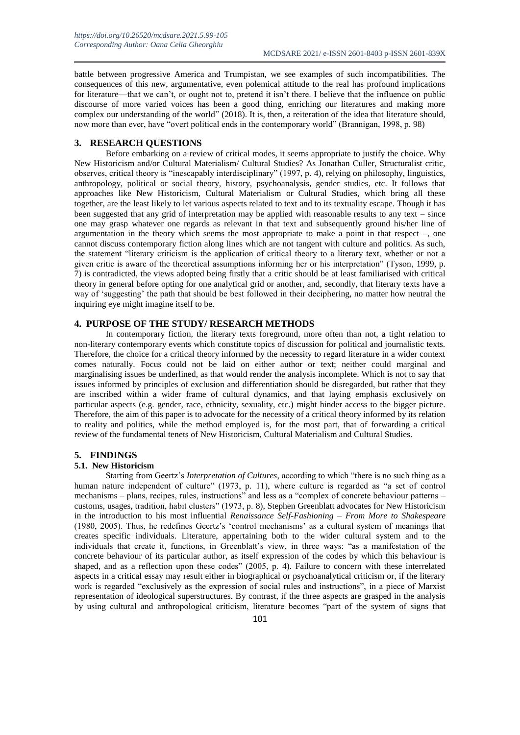battle between progressive America and Trumpistan, we see examples of such incompatibilities. The consequences of this new, argumentative, even polemical attitude to the real has profound implications for literature—that we can't, or ought not to, pretend it isn't there. I believe that the influence on public discourse of more varied voices has been a good thing, enriching our literatures and making more complex our understanding of the world" (2018). It is, then, a reiteration of the idea that literature should, now more than ever, have "overt political ends in the contemporary world" (Brannigan, 1998, p. 98)

# **3. RESEARCH QUESTIONS**

Before embarking on a review of critical modes, it seems appropriate to justify the choice. Why New Historicism and/or Cultural Materialism/ Cultural Studies? As Jonathan Culler, Structuralist critic, observes, critical theory is "inescapably interdisciplinary" (1997, p. 4), relying on philosophy, linguistics, anthropology, political or social theory, history, psychoanalysis, gender studies, etc. It follows that approaches like New Historicism, Cultural Materialism or Cultural Studies, which bring all these together, are the least likely to let various aspects related to text and to its textuality escape. Though it has been suggested that any grid of interpretation may be applied with reasonable results to any text – since one may grasp whatever one regards as relevant in that text and subsequently ground his/her line of argumentation in the theory which seems the most appropriate to make a point in that respect –, one cannot discuss contemporary fiction along lines which are not tangent with culture and politics. As such, the statement "literary criticism is the application of critical theory to a literary text, whether or not a given critic is aware of the theoretical assumptions informing her or his interpretation" (Tyson, 1999, p. 7) is contradicted, the views adopted being firstly that a critic should be at least familiarised with critical theory in general before opting for one analytical grid or another, and, secondly, that literary texts have a way of 'suggesting' the path that should be best followed in their deciphering, no matter how neutral the inquiring eye might imagine itself to be.

# **4. PURPOSE OF THE STUDY/ RESEARCH METHODS**

In contemporary fiction, the literary texts foreground, more often than not, a tight relation to non-literary contemporary events which constitute topics of discussion for political and journalistic texts. Therefore, the choice for a critical theory informed by the necessity to regard literature in a wider context comes naturally. Focus could not be laid on either author or text; neither could marginal and marginalising issues be underlined, as that would render the analysis incomplete. Which is not to say that issues informed by principles of exclusion and differentiation should be disregarded, but rather that they are inscribed within a wider frame of cultural dynamics, and that laying emphasis exclusively on particular aspects (e.g. gender, race, ethnicity, sexuality, etc.) might hinder access to the bigger picture. Therefore, the aim of this paper is to advocate for the necessity of a critical theory informed by its relation to reality and politics, while the method employed is, for the most part, that of forwarding a critical review of the fundamental tenets of New Historicism, Cultural Materialism and Cultural Studies.

#### **5. FINDINGS**

#### **5.1. New Historicism**

Starting from Geertz's *Interpretation of Cultures*, according to which "there is no such thing as a human nature independent of culture" (1973, p. 11), where culture is regarded as "a set of control mechanisms – plans, recipes, rules, instructions" and less as a "complex of concrete behaviour patterns – customs, usages, tradition, habit clusters" (1973, p. 8), Stephen Greenblatt advocates for New Historicism in the introduction to his most influential *Renaissance Self-Fashioning – From More to Shakespeare* (1980, 2005). Thus, he redefines Geertz's 'control mechanisms' as a cultural system of meanings that creates specific individuals. Literature, appertaining both to the wider cultural system and to the individuals that create it, functions, in Greenblatt's view, in three ways: "as a manifestation of the concrete behaviour of its particular author, as itself expression of the codes by which this behaviour is shaped, and as a reflection upon these codes" (2005, p. 4). Failure to concern with these interrelated aspects in a critical essay may result either in biographical or psychoanalytical criticism or, if the literary work is regarded "exclusively as the expression of social rules and instructions", in a piece of Marxist representation of ideological superstructures. By contrast, if the three aspects are grasped in the analysis by using cultural and anthropological criticism, literature becomes "part of the system of signs that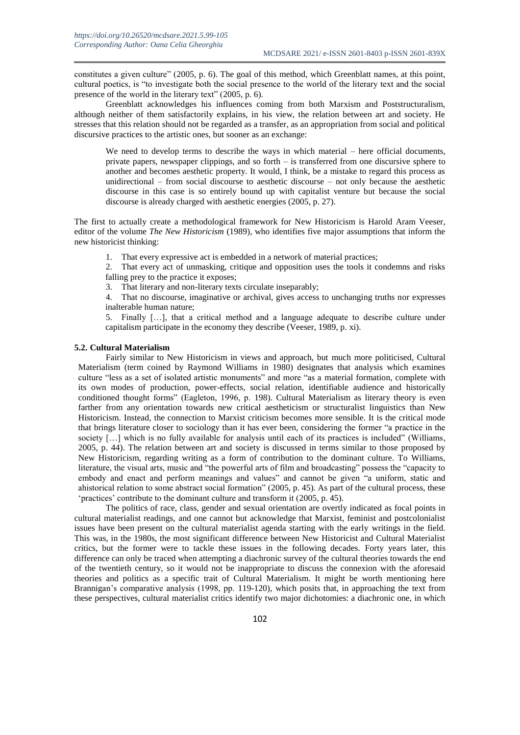constitutes a given culture" (2005, p. 6). The goal of this method, which Greenblatt names, at this point, cultural poetics, is "to investigate both the social presence to the world of the literary text and the social presence of the world in the literary text" (2005, p. 6).

Greenblatt acknowledges his influences coming from both Marxism and Poststructuralism, although neither of them satisfactorily explains, in his view, the relation between art and society. He stresses that this relation should not be regarded as a transfer, as an appropriation from social and political discursive practices to the artistic ones, but sooner as an exchange:

We need to develop terms to describe the ways in which material – here official documents, private papers, newspaper clippings, and so forth – is transferred from one discursive sphere to another and becomes aesthetic property. It would, I think, be a mistake to regard this process as unidirectional – from social discourse to aesthetic discourse – not only because the aesthetic discourse in this case is so entirely bound up with capitalist venture but because the social discourse is already charged with aesthetic energies (2005, p. 27).

The first to actually create a methodological framework for New Historicism is Harold Aram Veeser, editor of the volume *The New Historicism* (1989), who identifies five major assumptions that inform the new historicist thinking:

1. That every expressive act is embedded in a network of material practices;

2. That every act of unmasking, critique and opposition uses the tools it condemns and risks falling prey to the practice it exposes;

3. That literary and non-literary texts circulate inseparably;

4. That no discourse, imaginative or archival, gives access to unchanging truths nor expresses inalterable human nature;

5. Finally […], that a critical method and a language adequate to describe culture under capitalism participate in the economy they describe (Veeser, 1989, p. xi).

## **5.2. Cultural Materialism**

Fairly similar to New Historicism in views and approach, but much more politicised, Cultural Materialism (term coined by Raymond Williams in 1980) designates that analysis which examines culture "less as a set of isolated artistic monuments" and more "as a material formation, complete with its own modes of production, power-effects, social relation, identifiable audience and historically conditioned thought forms" (Eagleton, 1996, p. 198). Cultural Materialism as literary theory is even farther from any orientation towards new critical aestheticism or structuralist linguistics than New Historicism. Instead, the connection to Marxist criticism becomes more sensible. It is the critical mode that brings literature closer to sociology than it has ever been, considering the former "a practice in the society [...] which is no fully available for analysis until each of its practices is included" (Williams, 2005, p. 44). The relation between art and society is discussed in terms similar to those proposed by New Historicism, regarding writing as a form of contribution to the dominant culture. To Williams, literature, the visual arts, music and "the powerful arts of film and broadcasting" possess the "capacity to embody and enact and perform meanings and values" and cannot be given "a uniform, static and ahistorical relation to some abstract social formation" (2005, p. 45). As part of the cultural process, these 'practices' contribute to the dominant culture and transform it (2005, p. 45).

The politics of race, class, gender and sexual orientation are overtly indicated as focal points in cultural materialist readings, and one cannot but acknowledge that Marxist, feminist and postcolonialist issues have been present on the cultural materialist agenda starting with the early writings in the field. This was, in the 1980s, the most significant difference between New Historicist and Cultural Materialist critics, but the former were to tackle these issues in the following decades. Forty years later, this difference can only be traced when attempting a diachronic survey of the cultural theories towards the end of the twentieth century, so it would not be inappropriate to discuss the connexion with the aforesaid theories and politics as a specific trait of Cultural Materialism. It might be worth mentioning here Brannigan's comparative analysis (1998, pp. 119-120), which posits that, in approaching the text from these perspectives, cultural materialist critics identify two major dichotomies: a diachronic one, in which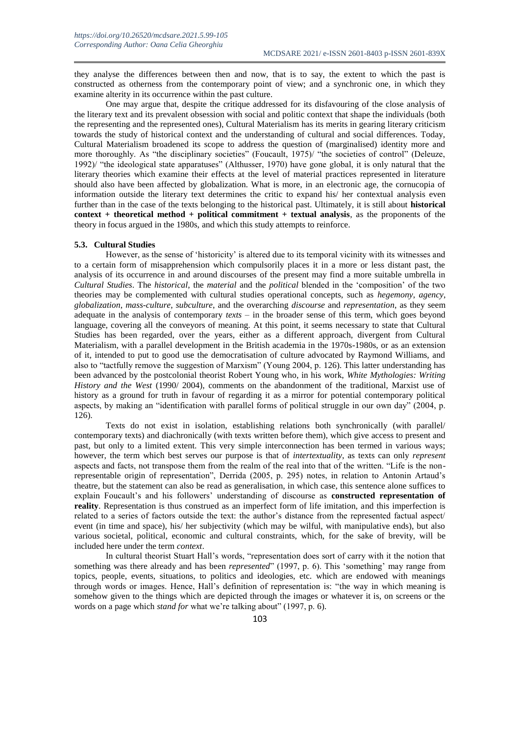they analyse the differences between then and now, that is to say, the extent to which the past is constructed as otherness from the contemporary point of view; and a synchronic one, in which they examine alterity in its occurrence within the past culture.

One may argue that, despite the critique addressed for its disfavouring of the close analysis of the literary text and its prevalent obsession with social and politic context that shape the individuals (both the representing and the represented ones), Cultural Materialism has its merits in gearing literary criticism towards the study of historical context and the understanding of cultural and social differences. Today, Cultural Materialism broadened its scope to address the question of (marginalised) identity more and more thoroughly. As "the disciplinary societies" (Foucault, 1975)/ "the societies of control" (Deleuze, 1992)/ "the ideological state apparatuses" (Althusser, 1970) have gone global, it is only natural that the literary theories which examine their effects at the level of material practices represented in literature should also have been affected by globalization. What is more, in an electronic age, the cornucopia of information outside the literary text determines the critic to expand his/ her contextual analysis even further than in the case of the texts belonging to the historical past. Ultimately, it is still about **historical context + theoretical method + political commitment + textual analysis**, as the proponents of the theory in focus argued in the 1980s, and which this study attempts to reinforce.

## **5.3. Cultural Studies**

However, as the sense of 'historicity' is altered due to its temporal vicinity with its witnesses and to a certain form of misapprehension which compulsorily places it in a more or less distant past, the analysis of its occurrence in and around discourses of the present may find a more suitable umbrella in *Cultural Studies*. The *historical*, the *material* and the *political* blended in the 'composition' of the two theories may be complemented with cultural studies operational concepts, such as *hegemony*, *agency*, *globalization*, *mass-culture*, *subculture*, and the overarching *discourse* and *representation*, as they seem adequate in the analysis of contemporary *texts* – in the broader sense of this term, which goes beyond language, covering all the conveyors of meaning. At this point, it seems necessary to state that Cultural Studies has been regarded, over the years, either as a different approach, divergent from Cultural Materialism, with a parallel development in the British academia in the 1970s-1980s, or as an extension of it, intended to put to good use the democratisation of culture advocated by Raymond Williams, and also to "tactfully remove the suggestion of Marxism" (Young 2004, p. 126). This latter understanding has been advanced by the postcolonial theorist Robert Young who, in his work, *White Mythologies: Writing History and the West* (1990/ 2004), comments on the abandonment of the traditional, Marxist use of history as a ground for truth in favour of regarding it as a mirror for potential contemporary political aspects, by making an "identification with parallel forms of political struggle in our own day" (2004, p. 126).

Texts do not exist in isolation, establishing relations both synchronically (with parallel/ contemporary texts) and diachronically (with texts written before them), which give access to present and past, but only to a limited extent. This very simple interconnection has been termed in various ways; however, the term which best serves our purpose is that of *intertextuality*, as texts can only *represent*  aspects and facts, not transpose them from the realm of the real into that of the written. "Life is the nonrepresentable origin of representation", Derrida (2005, p. 295) notes, in relation to Antonin Artaud's theatre, but the statement can also be read as generalisation, in which case, this sentence alone suffices to explain Foucault's and his followers' understanding of discourse as **constructed representation of reality**. Representation is thus construed as an imperfect form of life imitation, and this imperfection is related to a series of factors outside the text: the author's distance from the represented factual aspect/ event (in time and space), his/ her subjectivity (which may be wilful, with manipulative ends), but also various societal, political, economic and cultural constraints, which, for the sake of brevity, will be included here under the term *context*.

In cultural theorist Stuart Hall's words, "representation does sort of carry with it the notion that something was there already and has been *represented*" (1997, p. 6). This 'something' may range from topics, people, events, situations, to politics and ideologies, etc. which are endowed with meanings through words or images. Hence, Hall's definition of representation is: "the way in which meaning is somehow given to the things which are depicted through the images or whatever it is, on screens or the words on a page which *stand for* what we're talking about" (1997, p. 6).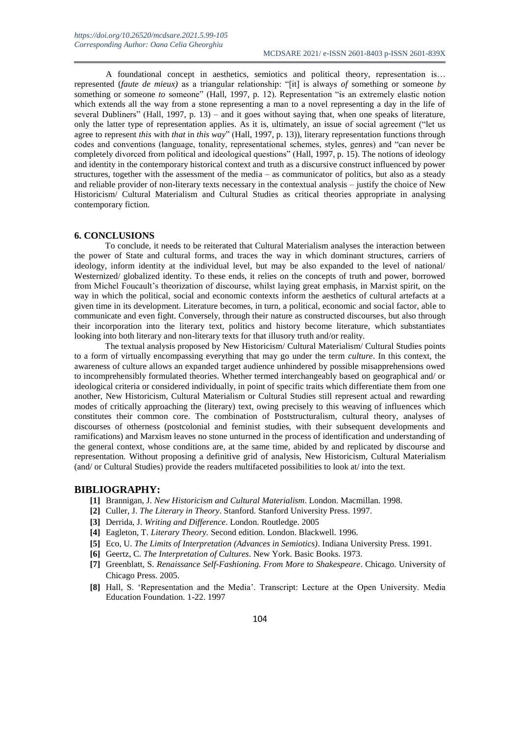A foundational concept in aesthetics, semiotics and political theory, representation is… represented (*faute de mieux)* as a triangular relationship: "[it] is always *of* something or someone *by* something or someone *to* someone" (Hall, 1997, p. 12). Representation "is an extremely elastic notion which extends all the way from a stone representing a man to a novel representing a day in the life of several Dubliners" (Hall, 1997, p. 13) – and it goes without saying that, when one speaks of literature, only the latter type of representation applies. As it is, ultimately, an issue of social agreement ("let us agree to represent *this* with *that* in *this way*" (Hall, 1997, p. 13)), literary representation functions through codes and conventions (language, tonality, representational schemes, styles, genres) and "can never be completely divorced from political and ideological questions" (Hall, 1997, p. 15). The notions of ideology and identity in the contemporary historical context and truth as a discursive construct influenced by power structures, together with the assessment of the media – as communicator of politics, but also as a steady and reliable provider of non-literary texts necessary in the contextual analysis – justify the choice of New Historicism/ Cultural Materialism and Cultural Studies as critical theories appropriate in analysing contemporary fiction.

#### **6. CONCLUSIONS**

To conclude, it needs to be reiterated that Cultural Materialism analyses the interaction between the power of State and cultural forms, and traces the way in which dominant structures, carriers of ideology, inform identity at the individual level, but may be also expanded to the level of national/ Westernized/ globalized identity. To these ends, it relies on the concepts of truth and power, borrowed from Michel Foucault's theorization of discourse, whilst laying great emphasis, in Marxist spirit, on the way in which the political, social and economic contexts inform the aesthetics of cultural artefacts at a given time in its development. Literature becomes, in turn, a political, economic and social factor, able to communicate and even fight. Conversely, through their nature as constructed discourses, but also through their incorporation into the literary text, politics and history become literature, which substantiates looking into both literary and non-literary texts for that illusory truth and/or reality.

The textual analysis proposed by New Historicism/ Cultural Materialism/ Cultural Studies points to a form of virtually encompassing everything that may go under the term *culture*. In this context, the awareness of culture allows an expanded target audience unhindered by possible misapprehensions owed to incomprehensibly formulated theories. Whether termed interchangeably based on geographical and/ or ideological criteria or considered individually, in point of specific traits which differentiate them from one another, New Historicism, Cultural Materialism or Cultural Studies still represent actual and rewarding modes of critically approaching the (literary) text, owing precisely to this weaving of influences which constitutes their common core. The combination of Poststructuralism, cultural theory, analyses of discourses of otherness (postcolonial and feminist studies, with their subsequent developments and ramifications) and Marxism leaves no stone unturned in the process of identification and understanding of the general context, whose conditions are, at the same time, abided by and replicated by discourse and representation. Without proposing a definitive grid of analysis, New Historicism, Cultural Materialism (and/ or Cultural Studies) provide the readers multifaceted possibilities to look at/ into the text.

#### **BIBLIOGRAPHY:**

- **[1]** Brannigan, J. *New Historicism and Cultural Materialism*. London. Macmillan. 1998.
- **[2]** Culler, J. *The Literary in Theory*. Stanford. Stanford University Press. 1997.
- **[3]** Derrida, J. *Writing and Difference*. London. Routledge. 2005
- **[4]** Eagleton, T. *Literary Theory.* Second edition. London. Blackwell. 1996.
- **[5]** Eco, U. *The Limits of Interpretation (Advances in Semiotics)*. Indiana University Press. 1991.
- **[6]** Geertz, C. *The Interpretation of Cultures*. New York. Basic Books. 1973.
- **[7]** Greenblatt, S. *Renaissance Self-Fashioning. From More to Shakespeare*. Chicago. University of Chicago Press. 2005.
- **[8]** Hall, S. 'Representation and the Media'. Transcript: Lecture at the Open University. Media Education Foundation. 1-22. 1997